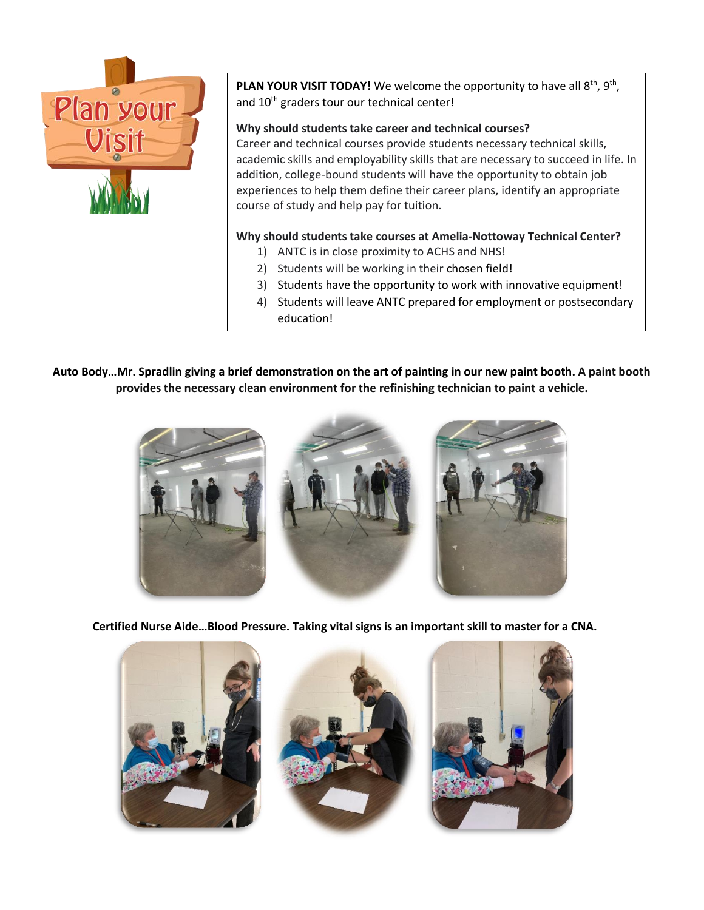

PLAN YOUR VISIT TODAY! We welcome the opportunity to have all 8<sup>th</sup>, 9<sup>th</sup>, and 10<sup>th</sup> graders tour our technical center!

## **Why should students take career and technical courses?**

Career and technical courses provide students necessary technical skills, academic skills and employability skills that are necessary to succeed in life. In addition, college-bound students will have the opportunity to obtain job experiences to help them define their career plans, identify an appropriate course of study and help pay for tuition.

## **Why should students take courses at Amelia-Nottoway Technical Center?**

- 1) ANTC is in close proximity to ACHS and NHS!
- 2) Students will be working in their chosen field!
- 3) Students have the opportunity to work with innovative equipment!
- 4) Students will leave ANTC prepared for employment or postsecondary education!

**Auto Body…Mr. Spradlin giving a brief demonstration on the art of painting in our new paint booth. A paint booth provides the necessary clean environment for the refinishing technician to paint a vehicle.**



**Certified Nurse Aide…Blood Pressure. Taking vital signs is an important skill to master for a CNA.**